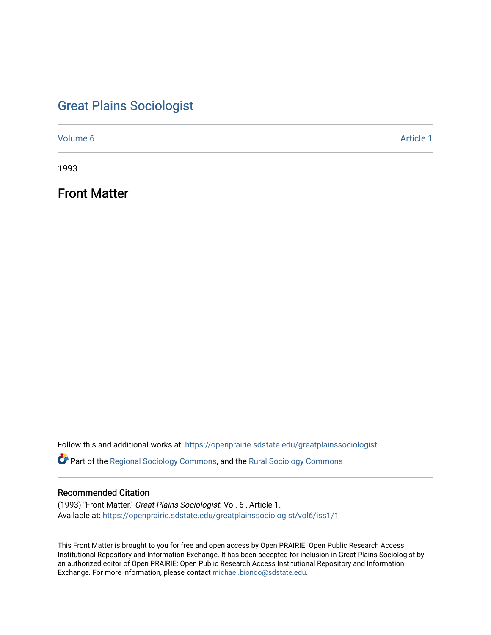# [Great Plains Sociologist](https://openprairie.sdstate.edu/greatplainssociologist)

[Volume 6](https://openprairie.sdstate.edu/greatplainssociologist/vol6) Article 1

1993

Front Matter

Follow this and additional works at: [https://openprairie.sdstate.edu/greatplainssociologist](https://openprairie.sdstate.edu/greatplainssociologist?utm_source=openprairie.sdstate.edu%2Fgreatplainssociologist%2Fvol6%2Fiss1%2F1&utm_medium=PDF&utm_campaign=PDFCoverPages) 

Part of the [Regional Sociology Commons](http://network.bepress.com/hgg/discipline/427?utm_source=openprairie.sdstate.edu%2Fgreatplainssociologist%2Fvol6%2Fiss1%2F1&utm_medium=PDF&utm_campaign=PDFCoverPages), and the [Rural Sociology Commons](http://network.bepress.com/hgg/discipline/428?utm_source=openprairie.sdstate.edu%2Fgreatplainssociologist%2Fvol6%2Fiss1%2F1&utm_medium=PDF&utm_campaign=PDFCoverPages) 

### Recommended Citation

(1993) "Front Matter," Great Plains Sociologist: Vol. 6 , Article 1. Available at: [https://openprairie.sdstate.edu/greatplainssociologist/vol6/iss1/1](https://openprairie.sdstate.edu/greatplainssociologist/vol6/iss1/1?utm_source=openprairie.sdstate.edu%2Fgreatplainssociologist%2Fvol6%2Fiss1%2F1&utm_medium=PDF&utm_campaign=PDFCoverPages) 

This Front Matter is brought to you for free and open access by Open PRAIRIE: Open Public Research Access Institutional Repository and Information Exchange. It has been accepted for inclusion in Great Plains Sociologist by an authorized editor of Open PRAIRIE: Open Public Research Access Institutional Repository and Information Exchange. For more information, please contact [michael.biondo@sdstate.edu.](mailto:michael.biondo@sdstate.edu)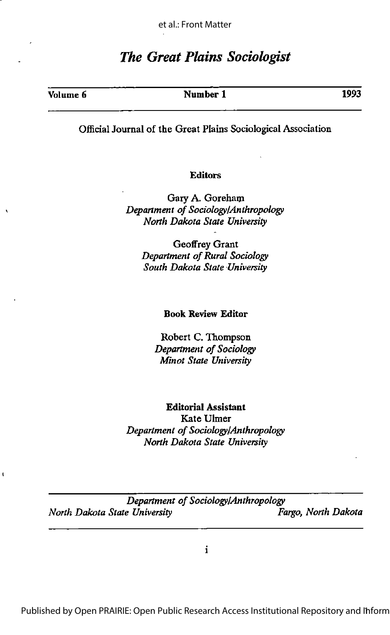## The Great Plains Sociologist

| Volume 6 | Number 1 | 1993 |
|----------|----------|------|
|          |          |      |

#### Official Journal of the Great Plains Sociological Association

#### Editors

Gary A. Goreham Department of Sociology/Anthropology North Dakota State University

> Geoffrey Grant Department of Rural Sociology South Dakota State University

#### Book Review Editor

Robert C. Thompson Department of Sociology Minot State University

Editorial Assistant Kate Ulmer Department of Sociology/Anthropology North Dakota State University

Department of Sociology/Anthropology North Dakota State University Fargo, North Dakota

 $\mathbf{t}$ 

 $\mathbf{i}$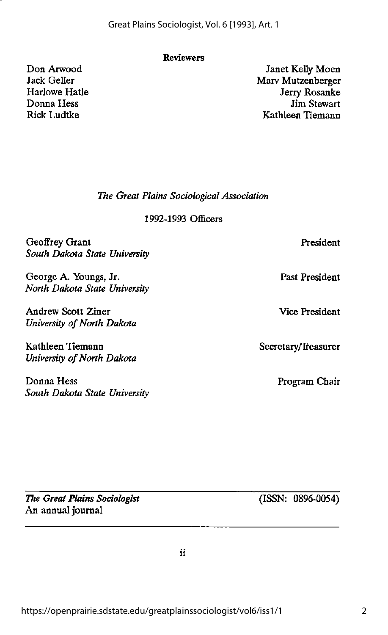Geoffrey Grant South Dakota State University

Don Arwood Jack Geller Harlowe Hatle Donna Hess Rick Ludtke

George A. Youngs, Jr. North Dakota State University

Andrew Scott Ziner University of North Dakota

Kathleen Hemann University of North Dakota

Donna Hess South Dakota State University

The Great Plains Sociologist

An annual journal

https://openprairie.sdstate.edu/greatplainssociologist/vol6/iss1/1

1992-1993 Officers

The Great Plains Sociological Association

Reviewers

Great Plains Sociologist, Vol. 6 [1993], Art. 1

Secretary/Treasurer

Janet Kelly Moen Marv Mutzenberger Jerry Rosanke Jim Stewart Kathleen Tiemann

Program Chair

President

Past President

Vice President

(ISSN: 0896-0054)

 $\ddot{\mathbf{u}}$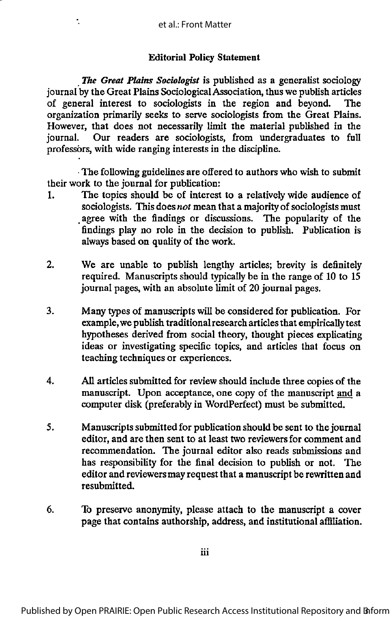÷.

#### **Editorial Policy Statement**

The Great Plains Sociologist is published as a generalist sociology journal by the Great Plains Sociological Association, thus we publish articles of general interest to sociologists in the region and beyond. The organization primarily seeks to serve sociologists from the Great Plains. However, that does not necessarily limit the material published in the journal. Our readers are sociologists, from undergraduates to full professors, with wide ranging interests in the discipline.

•The following guidelines are offered to authors who wish to submit their work to the journal for publication:

- 1. Tbe topics should be of interest to a relativefy wide audience of sociologists. This does not mean that a majority of sociologists must agree with the findings or discussions. The popularity of the findings play no role in the decision to publish. Publication is always based on quality of the work.
- 2. We are unable to publish lengthy articles; brevity is definitely required. Manuscripts should typically be in the range of 10 to 15 journal pages, with an absolute limit of 20 journal pages.
- 3. Many types of manuscripts will be considered for publication. For example, we publish traditionalresearch articles that empirically test hypotheses derived from social theory, thought pieces explicating ideas or investigating specific topics, and articles that focus on teaching techniques or experiences.
- 4. All articles submitted for review should include three copies of the manuscript. Upon acceptance, one copy of the manuscript and a computer disk (preferably in WordPerfect) must be submitted.
- 5. Manuscriptssubmitted for publication should be sent to the journal editor, and are then sent to at least two reviewersfor comment and recommendation. The journal editor also reads submissions and has responsibility for the final decision to publish or not. The editor and reviewers may request that a manuscript be rewritten and resubmitted.
- 6. To preserve anonymity, please attach to the manuscript a cover page that contains authorship, address, and institutional affiliation.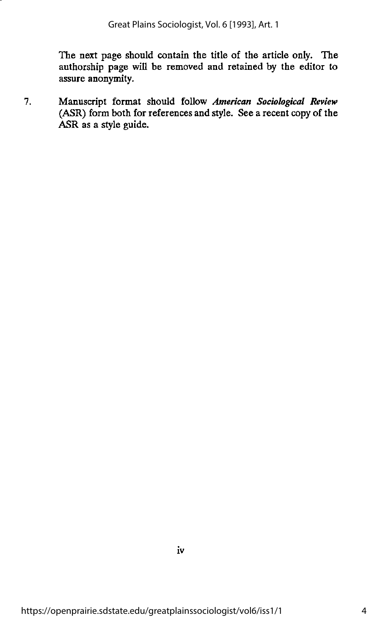The next page should contain the title of the article only. The authorship page will be removed and retained by the editor to assure anonymity.

7. Manuscript format should follow American Sociological Review (ASR) form both for references and style. See a recent copy of the ASR as a style guide.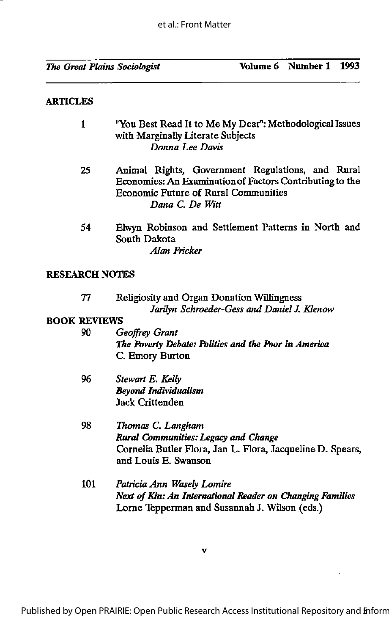#### **ARTICLES**

| 1                     | "You Best Read It to Me My Dear": Methodological Issues<br>with Marginally Literate Subjects<br>Donna Lee Davis                                                                |
|-----------------------|--------------------------------------------------------------------------------------------------------------------------------------------------------------------------------|
| 25                    | Animal Rights, Government Regulations, and Rural<br>Economies: An Examination of Factors Contributing to the<br><b>Economic Future of Rural Communities</b><br>Dana C. De Witt |
| 54                    | Elwyn Robinson and Settlement Patterns in North and<br>South Dakota<br>Alan Fricker                                                                                            |
| <b>RESEARCH NOTES</b> |                                                                                                                                                                                |
| 77                    | <b>Religiosity and Organ Donation Willingness</b><br>Jarilyn Schroeder-Gess and Daniel J. Klenow                                                                               |
| <b>BOOK REVIEWS</b>   |                                                                                                                                                                                |
| 90                    | Geoffrey Grant<br>The Poverty Debate: Politics and the Poor in America<br>C. Emory Burton                                                                                      |
| 96                    | Stewart E. Kelly<br><b>Beyond Individualism</b><br><b>Jack Crittenden</b>                                                                                                      |
| 98                    | Thomas C. Langham<br>Rural Communities: Legacy and Change<br>Cornelia Butler Flora, Jan L. Flora, Jacqueline D. Spears,<br>and Louis E. Swanson                                |
| 101                   | Patricia Ann Wasely Lomire<br>Next of Kin: An International Reader on Changing Families<br>Lorne Tepperman and Susannah J. Wilson (eds.)                                       |

V

l,